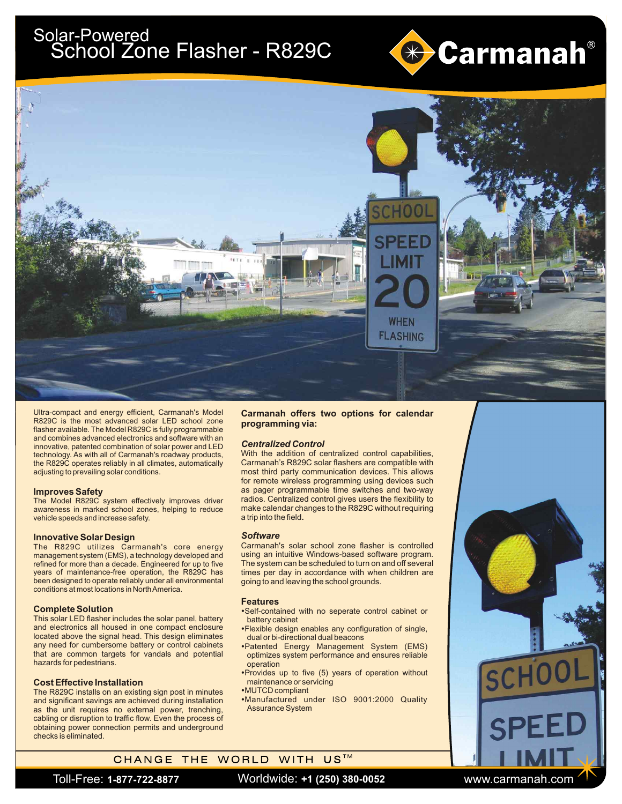# Solar-Powe<u>red</u> School Zone Flasher - R829C





Ultra-compact and energy efficient, Carmanah's Model R829C is the most advanced solar LED school zone flasher available. The Model R829C is fully programmable and combines advanced electronics and software with an innovative, patented combination of solar power and LED technology. As with all of Carmanah's roadway products, the R829C operates reliably in all climates, automatically adjusting to prevailing solar conditions.

#### **Improves Safety**

The Model R829C system effectively improves driver awareness in marked school zones, helping to reduce vehicle speeds and increase safety.

#### **Innovative Solar Design**

The R829C utilizes Carmanah's core energy management system (EMS), a technology developed and refined for more than a decade. Engineered for up to five years of maintenance-free operation, the R829C has been designed to operate reliably under all environmental conditions at most locations in North America.

### **Complete Solution**

This solar LED flasher includes the solar panel, battery and electronics all housed in one compact enclosure located above the signal head. This design eliminates any need for cumbersome battery or control cabinets that are common targets for vandals and potential hazards for pedestrians.

#### **Cost Effective Installation**

The R829C installs on an existing sign post in minutes and significant savings are achieved during installation as the unit requires no external power, trenching, cabling or disruption to traffic flow. Even the process of obtaining power connection permits and underground checks is eliminated.

### **Carmanah offers two options for calendar programming via:**

#### *Centralized Control*

With the addition of centralized control capabilities, Carmanah's R829C solar flashers are compatible with most third party communication devices. This allows for remote wireless programming using devices such as pager programmable time switches and two-way radios. Centralized control gives users the flexibility to make calendar changes to the R829C without requiring a trip into the field**.** 

#### *Software*

Carmanah's solar school zone flasher is controlled using an intuitive Windows-based software program. The system can be scheduled to turn on and off several times per day in accordance with when children are going to and leaving the school grounds.

#### **Features**

- ?Self-contained with no seperate control cabinet or
- battery cabinet<br>• Flexible design enables any configuration of single, ?dual or bi-directional dual beacons Patented Energy Management System (EMS)
- optimizes system performance and ensures reliable operation<br>•Provides up to five (5) years of operation without
- maintenance or servicing<br>•MUTCD compliant
- ?MUTCD compliant Manufactured under ISO 9001:2000 Quality Assurance System

## CHANGE THE WORLD WITH US™

Toll-Free: **1-877-722-8877** www.carmanah.com Worldwide: **+1 (250) 380-0052**